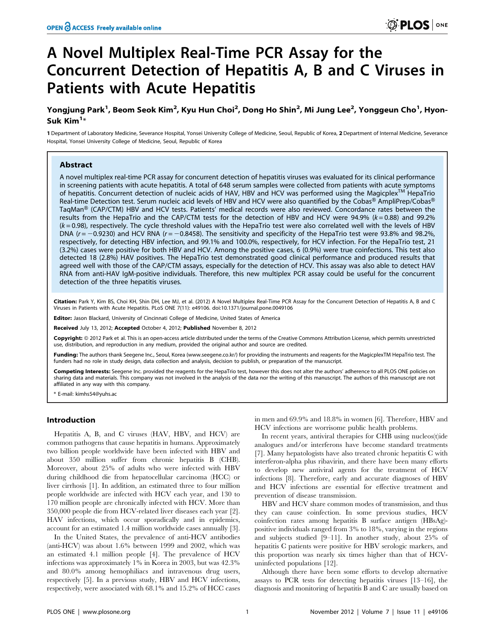# A Novel Multiplex Real-Time PCR Assay for the Concurrent Detection of Hepatitis A, B and C Viruses in Patients with Acute Hepatitis

# Yongjung Park<sup>1</sup>, Beom Seok Kim<sup>2</sup>, Kyu Hun Choi<sup>2</sup>, Dong Ho Shin<sup>2</sup>, Mi Jung Lee<sup>2</sup>, Yonggeun Cho<sup>1</sup>, Hyon-Suk Kim<sup>1</sup>\*

1 Department of Laboratory Medicine, Severance Hospital, Yonsei University College of Medicine, Seoul, Republic of Korea, 2 Department of Internal Medicine, Severance Hospital, Yonsei University College of Medicine, Seoul, Republic of Korea

# Abstract

A novel multiplex real-time PCR assay for concurrent detection of hepatitis viruses was evaluated for its clinical performance in screening patients with acute hepatitis. A total of 648 serum samples were collected from patients with acute symptoms of hepatitis. Concurrent detection of nucleic acids of HAV, HBV and HCV was performed using the Magicplex<sup>TM</sup> HepaTrio Real-time Detection test. Serum nucleic acid levels of HBV and HCV were also quantified by the Cobas® AmpliPrep/Cobas® TaqMan® (CAP/CTM) HBV and HCV tests. Patients' medical records were also reviewed. Concordance rates between the results from the HepaTrio and the CAP/CTM tests for the detection of HBV and HCV were 94.9% ( $k = 0.88$ ) and 99.2%  $(k=0.98)$ , respectively. The cycle threshold values with the HepaTrio test were also correlated well with the levels of HBV DNA ( $r = -0.9230$ ) and HCV RNA ( $r = -0.8458$ ). The sensitivity and specificity of the HepaTrio test were 93.8% and 98.2%, respectively, for detecting HBV infection, and 99.1% and 100.0%, respectively, for HCV infection. For the HepaTrio test, 21 (3.2%) cases were positive for both HBV and HCV. Among the positive cases, 6 (0.9%) were true coinfections. This test also detected 18 (2.8%) HAV positives. The HepaTrio test demonstrated good clinical performance and produced results that agreed well with those of the CAP/CTM assays, especially for the detection of HCV. This assay was also able to detect HAV RNA from anti-HAV IgM-positive individuals. Therefore, this new multiplex PCR assay could be useful for the concurrent detection of the three hepatitis viruses.

Citation: Park Y, Kim BS, Choi KH, Shin DH, Lee MJ, et al. (2012) A Novel Multiplex Real-Time PCR Assay for the Concurrent Detection of Hepatitis A, B and C Viruses in Patients with Acute Hepatitis. PLoS ONE 7(11): e49106. doi:10.1371/journal.pone.0049106

Editor: Jason Blackard, University of Cincinnati College of Medicine, United States of America

Received July 13, 2012; Accepted October 4, 2012; Published November 8, 2012

Copyright: © 2012 Park et al. This is an open-access article distributed under the terms of the Creative Commons Attribution License, which permits unrestricted use, distribution, and reproduction in any medium, provided the original author and source are credited.

Funding: The authors thank Seegene Inc., Seoul, Korea (www.seegene.co.kr/) for providing the instruments and reagents for the MagicplexTM HepaTrio test. The funders had no role in study design, data collection and analysis, decision to publish, or preparation of the manuscript.

Competing Interests: Seegene Inc. provided the reagents for the HepaTrio test, however this does not alter the authors' adherence to all PLOS ONE policies on sharing data and materials. This company was not involved in the analysis of the data nor the writing of this manuscript. The authors of this manuscript are not affiliated in any way with this company.

\* E-mail: kimhs54@yuhs.ac

#### Introduction

Hepatitis A, B, and C viruses (HAV, HBV, and HCV) are common pathogens that cause hepatitis in humans. Approximately two billion people worldwide have been infected with HBV and about 350 million suffer from chronic hepatitis B (CHB). Moreover, about 25% of adults who were infected with HBV during childhood die from hepatocellular carcinoma (HCC) or liver cirrhosis [1]. In addition, an estimated three to four million people worldwide are infected with HCV each year, and 130 to 170 million people are chronically infected with HCV. More than 350,000 people die from HCV-related liver diseases each year [2]. HAV infections, which occur sporadically and in epidemics, account for an estimated 1.4 million worldwide cases annually [3].

In the United States, the prevalence of anti-HCV antibodies (anti-HCV) was about 1.6% between 1999 and 2002, which was an estimated 4.1 million people [4]. The prevalence of HCV infections was approximately 1% in Korea in 2003, but was 42.3% and 80.0% among hemophiliacs and intravenous drug users, respectively [5]. In a previous study, HBV and HCV infections, respectively, were associated with 68.1% and 15.2% of HCC cases in men and 69.9% and 18.8% in women [6]. Therefore, HBV and HCV infections are worrisome public health problems.

In recent years, antiviral therapies for CHB using nucleos(t)ide analogues and/or interferons have become standard treatments [7]. Many hepatologists have also treated chronic hepatitis C with interferon-alpha plus ribavirin, and there have been many efforts to develop new antiviral agents for the treatment of HCV infections [8]. Therefore, early and accurate diagnoses of HBV and HCV infections are essential for effective treatment and prevention of disease transmission.

HBV and HCV share common modes of transmission, and thus they can cause coinfection. In some previous studies, HCV coinfection rates among hepatitis B surface antigen (HBsAg) positive individuals ranged from 3% to 18%, varying in the regions and subjects studied [9–11]. In another study, about 25% of hepatitis C patients were positive for HBV serologic markers, and this proportion was nearly six times higher than that of HCVuninfected populations [12].

Although there have been some efforts to develop alternative assays to PCR tests for detecting hepatitis viruses [13–16], the diagnosis and monitoring of hepatitis B and C are usually based on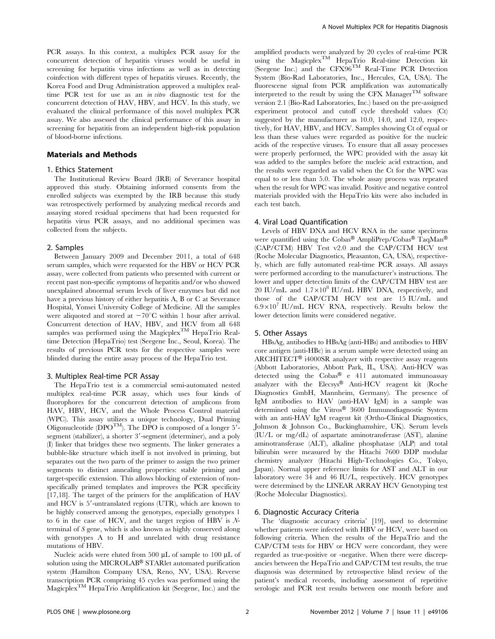PCR assays. In this context, a multiplex PCR assay for the concurrent detection of hepatitis viruses would be useful in screening for hepatitis virus infections as well as in detecting coinfection with different types of hepatitis viruses. Recently, the Korea Food and Drug Administration approved a multiplex realtime PCR test for use as an *in vitro* diagnostic test for the concurrent detection of HAV, HBV, and HCV. In this study, we evaluated the clinical performance of this novel multiplex PCR assay. We also assessed the clinical performance of this assay in screening for hepatitis from an independent high-risk population of blood-borne infections.

# Materials and Methods

#### 1. Ethics Statement

The Institutional Review Board (IRB) of Severance hospital approved this study. Obtaining informed consents from the enrolled subjects was exempted by the IRB because this study was retrospectively performed by analyzing medical records and assaying stored residual specimens that had been requested for hepatitis virus PCR assays, and no additional specimen was collected from the subjects.

# 2. Samples

Between January 2009 and December 2011, a total of 648 serum samples, which were requested for the HBV or HCV PCR assay, were collected from patients who presented with current or recent past non-specific symptoms of hepatitis and/or who showed unexplained abnormal serum levels of liver enzymes but did not have a previous history of either hepatitis A, B or C at Severance Hospital, Yonsei University College of Medicine. All the samples were aliquoted and stored at  $-70^{\circ}$ C within 1 hour after arrival. Concurrent detection of HAV, HBV, and HCV from all 648 samples was performed using the Magicplex<sup>TM</sup> HepaTrio Realtime Detection (HepaTrio) test (Seegene Inc., Seoul, Korea). The results of previous PCR tests for the respective samples were blinded during the entire assay process of the HepaTrio test.

#### 3. Multiplex Real-time PCR Assay

The HepaTrio test is a commercial semi-automated nested multiplex real-time PCR assay, which uses four kinds of fluorophores for the concurrent detection of amplicons from HAV, HBV, HCV, and the Whole Process Control material (WPC). This assay utilizes a unique technology, Dual Priming Oligonucleotide ( $\text{DPO}^{\text{TM}}$ ). The DPO is composed of a longer 5<sup>7</sup>segment (stabilizer), a shorter 3'-segment (determiner), and a poly (I) linker that bridges these two segments. The linker generates a bubble-like structure which itself is not involved in priming, but separates out the two parts of the primer to assign the two primer segments to distinct annealing properties: stable priming and target-specific extension. This allows blocking of extension of nonspecifically primed templates and improves the PCR specificity [17,18]. The target of the primers for the amplification of HAV and HCV is  $5'$ -untranslated regions (UTR), which are known to be highly conserved among the genotypes, especially genotypes 1 to 6 in the case of HCV, and the target region of HBV is  $N$ terminal of S gene, which is also known as highly conserved along with genotypes A to H and unrelated with drug resistance mutations of HBV.

Nucleic acids were eluted from 500  $\mu$ L of sample to 100  $\mu$ L of solution using the MICROLAB® STARlet automated purification system (Hamilton Company USA, Reno, NV, USA). Reverse transcription PCR comprising 45 cycles was performed using the Magicplex<sup>TM</sup> HepaTrio Amplification kit (Seegene, Inc.) and the amplified products were analyzed by 20 cycles of real-time PCR using the MagicplexTM HepaTrio Real-time Detection kit (Seegene Inc.) and the CFX96TM Real-Time PCR Detection System (Bio-Rad Laboratories, Inc., Hercules, CA, USA). The fluorescene signal from PCR amplification was automatically interpreted to the result by using the CFX Manager<sup>TM</sup> software version 2.1 (Bio-Rad Laboratories, Inc.) based on the pre-assigned experiment protocol and cutoff cycle threshold values (Ct) suggested by the manufacturer as 10.0, 14.0, and 12.0, respectively, for HAV, HBV, and HCV. Samples showing Ct of equal or less than these values were regarded as positive for the nucleic acids of the respective viruses. To ensure that all assay processes were properly performed, the WPC provided with the assay kit was added to the samples before the nucleic acid extraction, and the results were regarded as valid when the Ct for the WPC was equal to or less than 5.0. The whole assay process was repeated when the result for WPC was invalid. Positive and negative control materials provided with the HepaTrio kits were also included in each test batch.

### 4. Viral Load Quantification

Levels of HBV DNA and HCV RNA in the same specimens were quantified using the Cobas® AmpliPrep/Cobas® TaqMan® (CAP/CTM) HBV Test v2.0 and the CAP/CTM HCV test (Roche Molecular Diagnostics, Pleasanton, CA, USA), respectively, which are fully automated real-time PCR assays. All assays were performed according to the manufacturer's instructions. The lower and upper detection limits of the CAP/CTM HBV test are 20 IU/mL and  $1.7\times10^8$  IU/mL HBV DNA, respectively, and those of the CAP/CTM HCV test are 15 IU/mL and  $6.9\times10^{7}$  IU/mL HCV RNA, respectively. Results below the lower detection limits were considered negative.

#### 5. Other Assays

HBsAg, antibodies to HBsAg (anti-HBs) and antibodies to HBV core antigen (anti-HBc) in a serum sample were detected using an ARCHITECT<sup>®</sup> i4000SR analyzer with respective assay reagents (Abbott Laboratories, Abbott Park, IL, USA). Anti-HCV was detected using the  $Cobas^{\circledR}$  e 411 automated immunoassay analyzer with the Elecsys® Anti-HCV reagent kit (Roche Diagnostics GmbH, Mannheim, Germany). The presence of IgM antibodies to HAV (anti-HAV IgM) in a sample was determined using the Vitros® 3600 Immunodiagnostic System with an anti-HAV IgM reagent kit (Ortho-Clinical Diagnostics, Johnson & Johnson Co., Buckinghamshire, UK). Serum levels (IU/L or mg/dL) of aspartate aminotransferase (AST), alanine aminotransferase (ALT), alkaline phosphatase (ALP) and total bilirubin were measured by the Hitachi 7600 DDP modular chemistry analyzer (Hitachi High-Technologies Co., Tokyo, Japan). Normal upper reference limits for AST and ALT in our laboratory were 34 and 46 IU/L, respectively. HCV genotypes were determined by the LINEAR ARRAY HCV Genotyping test (Roche Molecular Diagnostics).

#### 6. Diagnostic Accuracy Criteria

The 'diagnostic accuracy criteria' [19], used to determine whether patients were infected with HBV or HCV, were based on following criteria. When the results of the HepaTrio and the CAP/CTM tests for HBV or HCV were concordant, they were regarded as true-positive or -negative. When there were discrepancies between the HepaTrio and CAP/CTM test results, the true diagnosis was determined by retrospective blind review of the patient's medical records, including assessment of repetitive serologic and PCR test results between one month before and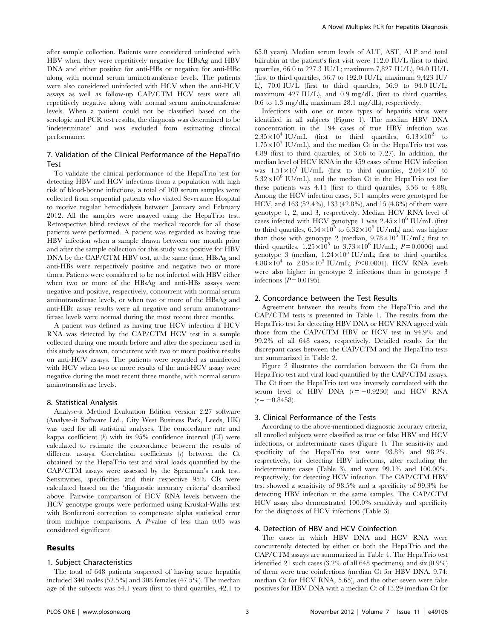after sample collection. Patients were considered uninfected with HBV when they were repetitively negative for HBsAg and HBV DNA and either positive for anti-HBs or negative for anti-HBc along with normal serum aminotransferase levels. The patients were also considered uninfected with HCV when the anti-HCV assays as well as follow-up CAP/CTM HCV tests were all repetitively negative along with normal serum aminotransferase levels. When a patient could not be classified based on the serologic and PCR test results, the diagnosis was determined to be 'indeterminate' and was excluded from estimating clinical performance.

# 7. Validation of the Clinical Performance of the HepaTrio Test

To validate the clinical performance of the HepaTrio test for detecting HBV and HCV infections from a population with high risk of blood-borne infections, a total of 100 serum samples were collected from sequential patients who visited Severance Hospital to receive regular hemodialysis between January and February 2012. All the samples were assayed using the HepaTrio test. Retrospective blind reviews of the medical records for all those patients were performed. A patient was regarded as having true HBV infection when a sample drawn between one month prior and after the sample collection for this study was positive for HBV DNA by the CAP/CTM HBV test, at the same time, HBsAg and anti-HBs were respectively positive and negative two or more times. Patients were considered to be not infected with HBV either when two or more of the HBsAg and anti-HBs assays were negative and positive, respectively, concurrent with normal serum aminotransferase levels, or when two or more of the HBsAg and anti-HBc assay results were all negative and serum aminotransferase levels were normal during the most recent three months.

A patient was defined as having true HCV infection if HCV RNA was detected by the CAP/CTM HCV test in a sample collected during one month before and after the specimen used in this study was drawn, concurrent with two or more positive results on anti-HCV assays. The patients were regarded as uninfected with HCV when two or more results of the anti-HCV assay were negative during the most recent three months, with normal serum aminotransferase levels.

#### 8. Statistical Analysis

Analyse-it Method Evaluation Edition version 2.27 software (Analyse-it Software Ltd., City West Business Park, Leeds, UK) was used for all statistical analyses. The concordance rate and kappa coefficient  $(k)$  with its 95% confidence interval (CI) were calculated to estimate the concordance between the results of different assays. Correlation coefficients (r) between the Ct obtained by the HepaTrio test and viral loads quantified by the CAP/CTM assays were assessed by the Spearman's rank test. Sensitivities, specificities and their respective 95% CIs were calculated based on the 'diagnostic accuracy criteria' described above. Pairwise comparison of HCV RNA levels between the HCV genotype groups were performed using Kruskal-Wallis test with Bonferroni correction to compensate alpha statistical error from multiple comparisons. A P-value of less than 0.05 was considered significant.

# Results

#### 1. Subject Characteristics

The total of 648 patients suspected of having acute hepatitis included 340 males (52.5%) and 308 females (47.5%). The median age of the subjects was 54.1 years (first to third quartiles, 42.1 to 65.0 years). Median serum levels of ALT, AST, ALP and total bilirubin at the patient's first visit were 112.0 IU/L (first to third quartiles, 66.0 to 227.3 IU/L; maximum 7,827 IU/L), 94.0 IU/L (first to third quartiles, 56.7 to 192.0 IU/L; maximum 9,423 IU/ L), 70.0 IU/L (first to third quartiles, 56.9 to 94.0 IU/L; maximum 427 IU/L), and 0.9 mg/dL (first to third quartiles, 0.6 to 1.3 mg/dL; maximum 28.1 mg/dL), respectively.

Infections with one or more types of hepatitis virus were identified in all subjects (Figure 1). The median HBV DNA concentration in the 194 cases of true HBV infection was  $2.35 \times 10^4$  IU/mL (first to third quartiles,  $6.13 \times 10^2$  to  $1.75 \times 10^7$  IU/mL), and the median Ct in the HepaTrio test was 4.89 (first to third quartiles, of 3.66 to 7.27). In addition, the median level of HCV RNA in the 459 cases of true HCV infection was  $1.51\times10^6$  IU/mL (first to third quartiles,  $2.04\times10^5$  to  $5.32\times10^6$  IU/mL), and the median Ct in the HepaTrio test for these patients was 4.15 (first to third quartiles, 3.56 to 4.88). Among the HCV infection cases, 311 samples were genotyped for HCV, and 163 (52.4%), 133 (42.8%), and 15 (4.8%) of them were genotype 1, 2, and 3, respectively. Median HCV RNA level of cases infected with HCV genotype 1 was  $2.45 \times 10^6$  IU/mL (first to third quartiles,  $6.54 \times 10^5$  to  $6.32 \times 10^6$  IU/mL) and was higher than those with genotype 2 (median,  $9.78 \times 10^5$  IU/mL; first to third quartiles,  $1.25 \times 10^5$  to  $3.73 \times 10^6$  IU/mL;  $P = 0.0006$ ) and genotype 3 (median,  $1.24 \times 10^5$  IU/mL; first to third quartiles,  $4.88 \times 10^4$  to  $2.85 \times 10^5$  IU/mL; P<0.0001). HCV RNA levels were also higher in genotype 2 infections than in genotype 3 infections  $(P = 0.0195)$ .

# 2. Concordance between the Test Results

Agreement between the results from the HepaTrio and the CAP/CTM tests is presented in Table 1. The results from the HepaTrio test for detecting HBV DNA or HCV RNA agreed with those from the CAP/CTM HBV or HCV test in 94.9% and 99.2% of all 648 cases, respectively. Detailed results for the discrepant cases between the CAP/CTM and the HepaTrio tests are summarized in Table 2.

Figure 2 illustrates the correlation between the Ct from the HepaTrio test and viral load quantified by the CAP/CTM assays. The Ct from the HepaTrio test was inversely correlated with the serum level of HBV DNA  $(r=-0.9230)$  and HCV RNA  $(r = -0.8458)$ .

# 3. Clinical Performance of the Tests

According to the above-mentioned diagnostic accuracy criteria, all enrolled subjects were classified as true or false HBV and HCV infections, or indeterminate cases (Figure 1). The sensitivity and specificity of the HepaTrio test were 93.8% and 98.2%, respectively, for detecting HBV infections, after excluding the indeterminate cases (Table 3), and were 99.1% and 100.00%, respectively, for detecting HCV infection. The CAP/CTM HBV test showed a sensitivity of 98.5% and a specificity of 99.3% for detecting HBV infection in the same samples. The CAP/CTM HCV assay also demonstrated 100.0% sensitivity and specificity for the diagnosis of HCV infections (Table 3).

# 4. Detection of HBV and HCV Coinfection

The cases in which HBV DNA and HCV RNA were concurrently detected by either or both the HepaTrio and the CAP/CTM assays are summarized in Table 4. The HepaTrio test identified 21 such cases (3.2% of all 648 specimens), and six (0.9%) of them were true coinfections (median Ct for HBV DNA, 9.74; median Ct for HCV RNA, 5.65), and the other seven were false positives for HBV DNA with a median Ct of 13.29 (median Ct for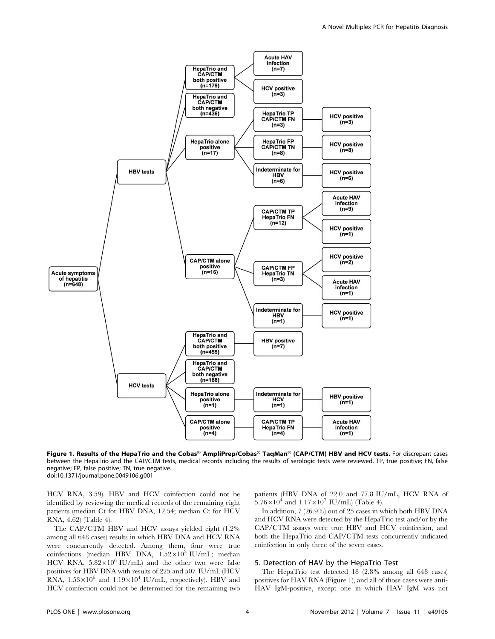

Figure 1. Results of the HepaTrio and the Cobas® AmpliPrep/Cobas® TaqMan® (CAP/CTM) HBV and HCV tests. For discrepant cases between the HepaTrio and the CAP/CTM tests, medical records including the results of serologic tests were reviewed. TP, true positive; FN, false negative; FP, false positive; TN, true negative. doi:10.1371/journal.pone.0049106.g001

HCV RNA, 3.59). HBV and HCV coinfection could not be identified by reviewing the medical records of the remaining eight patients (median Ct for HBV DNA, 12.54; median Ct for HCV RNA, 4.62) (Table 4).

The CAP/CTM HBV and HCV assays yielded eight (1.2% among all 648 cases) results in which HBV DNA and HCV RNA were concurrently detected. Among them, four were true coinfections (median HBV DNA,  $1.52 \times 10^3$  IU/mL; median HCV RNA,  $5.82 \times 10^6$  IU/mL) and the other two were false positives for HBV DNA with results of 225 and 507 IU/mL (HCV RNA,  $1.53 \times 10^6$  and  $1.19 \times 10^4$  IU/mL, respectively). HBV and HCV coinfection could not be determined for the remaining two patients (HBV DNA of 22.0 and 77.8 IU/mL, HCV RNA of  $5.76 \times 10^4$  and  $1.17 \times 10^7$  IU/mL) (Table 4).

In addition, 7 (26.9%) out of 25 cases in which both HBV DNA and HCV RNA were detected by the HepaTrio test and/or by the CAP/CTM assays were true HBV and HCV coinfection, and both the HepaTrio and CAP/CTM tests concurrently indicated coinfection in only three of the seven cases.

# 5. Detection of HAV by the HepaTrio Test

The HepaTrio test detected 18 (2.8% among all 648 cases) positives for HAV RNA (Figure 1), and all of those cases were anti-HAV IgM-positive, except one in which HAV IgM was not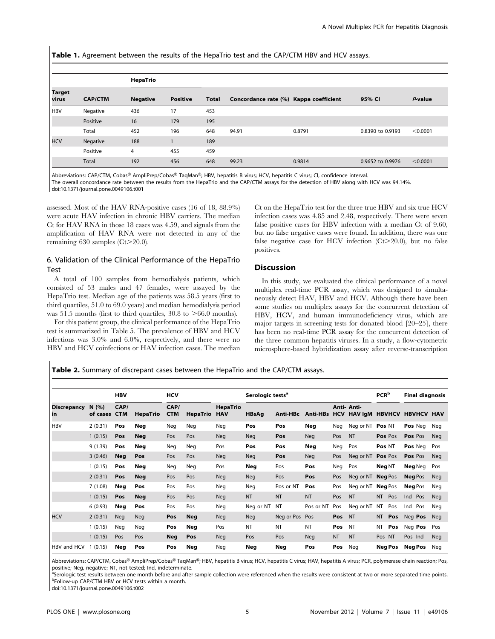Table 1. Agreement between the results of the HepaTrio test and the CAP/CTM HBV and HCV assays.

|                        |                | HepaTrio        |                 |       |                                        |        |                  |            |
|------------------------|----------------|-----------------|-----------------|-------|----------------------------------------|--------|------------------|------------|
| <b>Target</b><br>virus | <b>CAP/CTM</b> | <b>Negative</b> | <b>Positive</b> | Total | Concordance rate (%) Kappa coefficient |        | 95% CI           | $P$ -value |
| <b>HBV</b>             | Negative       | 436             | 17              | 453   |                                        |        |                  |            |
|                        | Positive       | 16              | 179             | 195   |                                        |        |                  |            |
|                        | Total          | 452             | 196             | 648   | 94.91                                  | 0.8791 | 0.8390 to 0.9193 | < 0.0001   |
| <b>HCV</b>             | Negative       | 188             |                 | 189   |                                        |        |                  |            |
|                        | Positive       | 4               | 455             | 459   |                                        |        |                  |            |
|                        | Total          | 192             | 456             | 648   | 99.23                                  | 0.9814 | 0.9652 to 0.9976 | < 0.0001   |

Abbreviations: CAP/CTM, Cobas® AmpliPrep/Cobas® TaqMan®; HBV, hepatitis B virus; HCV, hepatitis C virus; CI, confidence interval. The overall concordance rate between the results from the HepaTrio and the CAP/CTM assays for the detection of HBV along with HCV was 94.14%. doi:10.1371/journal.pone.0049106.t001

assessed. Most of the HAV RNA-positive cases (16 of 18, 88.9%) were acute HAV infection in chronic HBV carriers. The median Ct for HAV RNA in those 18 cases was 4.59, and signals from the amplification of HAV RNA were not detected in any of the remaining 630 samples  $(Ct > 20.0)$ .

# 6. Validation of the Clinical Performance of the HepaTrio Test

A total of 100 samples from hemodialysis patients, which consisted of 53 males and 47 females, were assayed by the HepaTrio test. Median age of the patients was 58.5 years (first to third quartiles, 51.0 to 69.0 years) and median hemodialysis period was 51.5 months (first to third quartiles, 30.8 to  $>66.0$  months).

For this patient group, the clinical performance of the HepaTrio test is summarized in Table 5. The prevalence of HBV and HCV infections was 3.0% and 6.0%, respectively, and there were no HBV and HCV coinfections or HAV infection cases. The median Ct on the HepaTrio test for the three true HBV and six true HCV infection cases was 4.85 and 2.48, respectively. There were seven false positive cases for HBV infection with a median Ct of 9.60, but no false negative cases were found. In addition, there was one false negative case for HCV infection  $(Ct > 20.0)$ , but no false positives.

# **Discussion**

In this study, we evaluated the clinical performance of a novel multiplex real-time PCR assay, which was designed to simultaneously detect HAV, HBV and HCV. Although there have been some studies on multiplex assays for the concurrent detection of HBV, HCV, and human immunodeficiency virus, which are major targets in screening tests for donated blood [20–25], there has been no real-time PCR assay for the concurrent detection of the three common hepatitis viruses. In a study, a flow-cytometric microsphere-based hybridization assay after reverse-transcription

Table 2. Summary of discrepant cases between the HepaTrio and the CAP/CTM assays.

|                            |                   | <b>HBV</b>         |                 | <b>HCV</b>         |                 |                               | Serologic tests <sup>a</sup> |                |            |           |                                            | PCR <sup>b</sup> | <b>Final diagnosis</b> |            |
|----------------------------|-------------------|--------------------|-----------------|--------------------|-----------------|-------------------------------|------------------------------|----------------|------------|-----------|--------------------------------------------|------------------|------------------------|------------|
| <b>Discrepancy</b><br>l in | N(96)<br>of cases | CAP/<br><b>CTM</b> | <b>HepaTrio</b> | CAP/<br><b>CTM</b> | <b>HepaTrio</b> | <b>HepaTrio</b><br><b>HAV</b> | <b>HBsAg</b>                 | Anti-HBc       |            |           | Anti- Anti-<br>Anti-HBs HCV HAV IgM HBVHCV |                  | <b>HBVHCV HAV</b>      |            |
| <b>HBV</b>                 | 2(0.31)           | Pos                | Neg             | Neg                | Neg             | Neg                           | Pos                          | Pos            | Neg        | Neg       | Neg or NT Pos NT                           |                  | Pos Neg                | Neg        |
|                            | 1(0.15)           | Pos                | <b>Neg</b>      | Pos                | Pos             | <b>Neg</b>                    | <b>Neg</b>                   | Pos            | <b>Neg</b> | Pos       | <b>NT</b>                                  | Pos Pos          | Pos Pos                | <b>Neg</b> |
|                            | 9 (1.39)          | Pos                | Neg             | Neg                | Neg             | Pos                           | Pos                          | Pos            | Neg        | Neg       | Pos                                        | Pos NT           | Pos Neg                | Pos        |
|                            | 3(0.46)           | <b>Neg</b>         | Pos             | Pos                | Pos             | <b>Neg</b>                    | <b>Neg</b>                   | Pos            | Neg        | Pos       | Neg or NT Pos Pos                          |                  | Pos Pos                | Neg        |
|                            | 1(0.15)           | Pos                | <b>Neg</b>      | Neg                | Neg             | Pos                           | Neg                          | Pos            | Pos        | Neg       | Pos                                        | Neg NT           | Neg Neg                | Pos        |
|                            | 2(0.31)           | Pos                | <b>Neg</b>      | Pos                | Pos             | <b>Neg</b>                    | <b>Neg</b>                   | Pos            | Pos        | Pos       | Neg or NT Neg Pos                          |                  | <b>Neg Pos</b>         | <b>Neg</b> |
|                            | 7(1.08)           | Neg                | Pos             | Pos                | Pos             | Neg                           | Neg                          | Pos or NT      | Pos        | Pos       | Neg or NT Neg Pos                          |                  | <b>Neg</b> Pos         | Neg        |
|                            | 1(0.15)           | Pos                | <b>Neg</b>      | Pos                | Pos             | <b>Neg</b>                    | <b>NT</b>                    | <b>NT</b>      | <b>NT</b>  | Pos       | <b>NT</b>                                  | NT.<br>Pos       | Ind Pos                | Neg        |
|                            | 6(0.93)           | Neg                | Pos             | Pos                | Pos             | Neg                           | Neg or NT                    | NT             | Pos or NT  | Pos       | Neg or NT                                  | Pos<br>NT        | Ind<br>Pos             | Neg        |
| <b>HCV</b>                 | 2(0.31)           | <b>Neg</b>         | Neg             | Pos                | <b>Neg</b>      | <b>Neg</b>                    | <b>Neg</b>                   | Neg or Pos Pos |            | Pos       | <b>NT</b>                                  | <b>NT</b><br>Pos | Neg Pos                | <b>Neg</b> |
|                            | 1(0.15)           | Neg                | Neg             | Pos                | Neg             | Pos                           | <b>NT</b>                    | <b>NT</b>      | <b>NT</b>  | Pos       | <b>NT</b>                                  | ΝT<br>Pos        | Neg Pos                | Pos        |
|                            | 1(0.15)           | Pos                | Pos             | Neg                | Pos             | <b>Neg</b>                    | Pos                          | Pos            | <b>Neg</b> | <b>NT</b> | <b>NT</b>                                  | Pos NT           | Pos Ind                | <b>Neg</b> |
| HBV and HCV                | (0.15)            | Neg                | Pos             | Pos                | Neg             | Neg                           | Neg                          | Neg            | Pos        | Pos       | Neg                                        | Neg Pos          | <b>Neg Pos</b>         | Neg        |

Abbreviations: CAP/CTM, Cobas® AmpliPrep/Cobas® TaqMan®; HBV, hepatitis B virus; HCV, hepatitis C virus; HAV, hepatitis A virus; PCR, polymerase chain reaction; Pos, positive; Neg, negative; NT, not tested; Ind, indeterminate.

<sup>a</sup>Serologic test results between one month before and after sample collection were referenced when the results were consistent at two or more separated time points.<br>PEollow up CAB/CTM HBV or HCV torts within a month <sup>b</sup>Follow-up CAP/CTM HBV or HCV tests within a month.

doi:10.1371/journal.pone.0049106.t002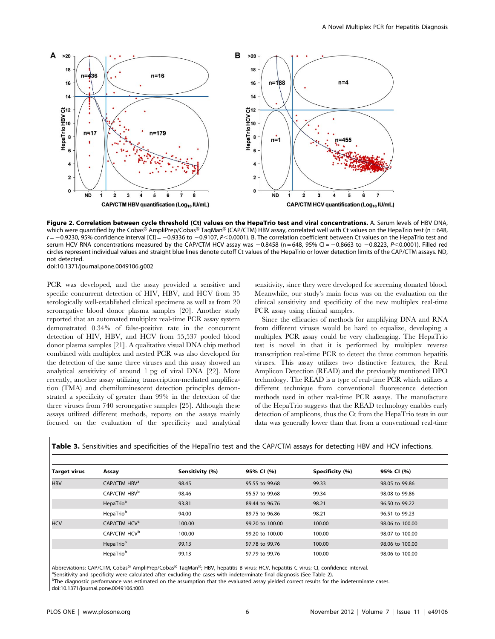

Figure 2. Correlation between cycle threshold (Ct) values on the HepaTrio test and viral concentrations. A. Serum levels of HBV DNA, which were quantified by the Cobas® AmpliPrep/Cobas® TaqMan® (CAP/CTM) HBV assay, correlated well with Ct values on the HepaTrio test (n = 648,  $r = -0.9230$ , 95% confidence interval [CI] = -0.9336 to -0.9107, P<0.0001). B. The correlation coefficient between Ct values on the HepaTrio test and serum HCV RNA concentrations measured by the CAP/CTM HCV assay was  $-0.8458$  (n = 648, 95% CI = -0.8663 to -0.8223, P<0.0001). Filled red circles represent individual values and straight blue lines denote cutoff Ct values of the HepaTrio or lower detection limits of the CAP/CTM assays. ND, not detected.

doi:10.1371/journal.pone.0049106.g002

PCR was developed, and the assay provided a sensitive and specific concurrent detection of HIV, HBV, and HCV from 35 serologically well-established clinical specimens as well as from 20 seronegative blood donor plasma samples [20]. Another study reported that an automated multiplex real-time PCR assay system demonstrated 0.34% of false-positive rate in the concurrent detection of HIV, HBV, and HCV from 55,537 pooled blood donor plasma samples [21]. A qualitative visual DNA chip method combined with multiplex and nested PCR was also developed for the detection of the same three viruses and this assay showed an analytical sensitivity of around 1 pg of viral DNA [22]. More recently, another assay utilizing transcription-mediated amplification (TMA) and chemiluminescent detection principles demonstrated a specificity of greater than 99% in the detection of the three viruses from 740 seronegative samples [25]. Although these assays utilized different methods, reports on the assays mainly focused on the evaluation of the specificity and analytical

sensitivity, since they were developed for screening donated blood. Meanwhile, our study's main focus was on the evaluation on the clinical sensitivity and specificity of the new multiplex real-time PCR assay using clinical samples.

Since the efficacies of methods for amplifying DNA and RNA from different viruses would be hard to equalize, developing a multiplex PCR assay could be very challenging. The HepaTrio test is novel in that it is performed by multiplex reverse transcription real-time PCR to detect the three common hepatitis viruses. This assay utilizes two distinctive features, the Real Amplicon Detection (READ) and the previously mentioned DPO technology. The READ is a type of real-time PCR which utilizes a different technique from conventional fluorescence detection methods used in other real-time PCR assays. The manufacture of the HepaTrio suggests that the READ technology enables early detection of amplicons, thus the Ct from the HepaTrio tests in our data was generally lower than that from a conventional real-time

| <b>Table 3.</b> Sensitivities and specificities of the HepaTrio test and the CAP/CTM assays for detecting HBV and HCV infections |  |  |
|----------------------------------------------------------------------------------------------------------------------------------|--|--|
|                                                                                                                                  |  |  |

| <b>Target virus</b> | Assay                    | Sensitivity (%) | 95% CI (%)      | Specificity (%) | 95% CI (%)      |
|---------------------|--------------------------|-----------------|-----------------|-----------------|-----------------|
| <b>HBV</b>          | CAP/CTM HBV <sup>a</sup> | 98.45           | 95.55 to 99.68  | 99.33           | 98.05 to 99.86  |
|                     | CAP/CTM HBV <sup>b</sup> | 98.46           | 95.57 to 99.68  | 99.34           | 98.08 to 99.86  |
|                     | HepaTrio <sup>a</sup>    | 93.81           | 89.44 to 96.76  | 98.21           | 96.50 to 99.22  |
|                     | HepaTrio <sup>b</sup>    | 94.00           | 89.75 to 96.86  | 98.21           | 96.51 to 99.23  |
| <b>HCV</b>          | CAP/CTM HCV <sup>a</sup> | 100.00          | 99.20 to 100.00 | 100.00          | 98.06 to 100.00 |
|                     | CAP/CTM HCV <sup>b</sup> | 100.00          | 99.20 to 100.00 | 100.00          | 98.07 to 100.00 |
|                     | HepaTrio <sup>a</sup>    | 99.13           | 97.78 to 99.76  | 100.00          | 98.06 to 100.00 |
|                     | HepaTrio <sup>b</sup>    | 99.13           | 97.79 to 99.76  | 100.00          | 98.06 to 100.00 |

Abbreviations: CAP/CTM, Cobas® AmpliPrep/Cobas® TaqMan®; HBV, hepatitis B virus; HCV, hepatitis C virus; CI, confidence interval.

<sup>a</sup>Sensitivity and specificity were calculated after excluding the cases with indeterminate final diagnosis (See Table 2).

<sup>b</sup>The diagnostic performance was estimated on the assumption that the evaluated assay yielded correct results for the indeterminate cases. doi:10.1371/journal.pone.0049106.t003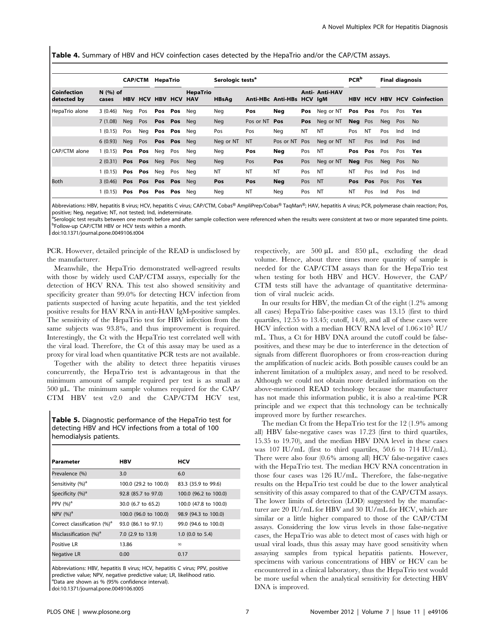Table 4. Summary of HBV and HCV coinfection cases detected by the HepaTrio and/or the CAP/CTM assays.

|                              |                       |            | <b>CAP/CTM</b>  | HepaTrio               |             |                 | Serologic tests <sup>a</sup> |               |                           |           |                       | <b>PCR</b> <sup>b</sup> |            |     | <b>Final diagnosis</b> |                            |
|------------------------------|-----------------------|------------|-----------------|------------------------|-------------|-----------------|------------------------------|---------------|---------------------------|-----------|-----------------------|-------------------------|------------|-----|------------------------|----------------------------|
| l Coinfection<br>detected by | $N$ $(%)$ of<br>cases | <b>HBV</b> |                 | <b>HCV HBV HCV HAV</b> |             | <b>HepaTrio</b> | <b>HBsAg</b>                 |               | Anti-HBc Anti-HBs HCV IgM |           | <b>Anti- Anti-HAV</b> | <b>HBV</b>              | <b>HCV</b> |     |                        | <b>HBV HCV Coinfection</b> |
| HepaTrio alone               | 3(0.46)               | Neg        | Pos             | Pos                    | Pos         | Neg             | Neg                          | Pos           | Neg                       | Pos       | Neg or NT             | Pos                     | Pos        | Pos | Pos                    | Yes                        |
|                              | 7(1.08)               | Neg        | Pos             | Pos Pos                |             | Nea             | <b>Neg</b>                   | Pos or NT Pos |                           | Pos       | Neg or NT             | <b>Neg</b> Pos          |            | Neg | Pos                    | No.                        |
|                              | 1(0.15)               | Pos        | Neg             | Pos Pos                |             | Nea             | Pos                          | Pos           | Nea                       | <b>NT</b> | NT                    | Pos                     | <b>NT</b>  | Pos | Ind                    | Ind                        |
|                              | 6(0.93)               | Neg        | Pos             |                        | Pos Pos Neg |                 | Neg or NT                    | <b>NT</b>     | Pos or NT                 | Pos       | Neg or NT             | <b>NT</b>               | Pos        | Ind | Pos                    | Ind                        |
| CAP/CTM alone                | 1(0.15)               |            | Pos Pos         | Neg                    | Pos         | Neg             | Neg                          | Pos           | Neg                       | Pos       | NT                    | Pos                     | Pos        | Pos | Pos                    | Yes                        |
|                              | 2(0.31)               |            | Pos Pos         | Neg                    | Pos         | <b>Neg</b>      | <b>Neg</b>                   | Pos           | Pos                       | Pos       | Neg or NT             | <b>Neg</b> Pos          |            | Neg | Pos                    | No.                        |
|                              | 1(0.15)               |            | Pos Pos         | Neg                    | Pos         | Neg             | <b>NT</b>                    | <b>NT</b>     | <b>NT</b>                 | Pos       | <b>NT</b>             | NT                      | Pos        | Ind | Pos                    | Ind                        |
| <b>Both</b>                  | 3(0.46)               |            | Pos Pos Pos Pos |                        |             | Nea             | Pos                          | Pos           | <b>Neg</b>                | Pos       | <b>NT</b>             | <b>Pos</b>              | Pos        | Pos | Pos                    | Yes                        |
|                              | (0.15)                |            | Pos Pos Pos Pos |                        |             | Neg             | Neg                          | <b>NT</b>     | Neg                       | Pos       | NT                    | NT                      | Pos        | Ind | Pos                    | Ind                        |

Abbreviations: HBV, hepatitis B virus; HCV, hepatitis C virus; CAP/CTM, Cobas® AmpliPrep/Cobas® TaqMan®; HAV, hepatitis A virus; PCR, polymerase chain reaction; Pos, positive; Neg, negative; NT, not tested; Ind, indeterminate.

<sup>a</sup>Serologic test results between one month before and after sample collection were referenced when the results were consistent at two or more separated time points.<br>PEollowein CAR/CTM HRV or HCV tests within a month <sup>b</sup>Follow-up CAP/CTM HBV or HCV tests within a month.

doi:10.1371/journal.pone.0049106.t004

PCR. However, detailed principle of the READ is undisclosed by the manufacturer.

Meanwhile, the HepaTrio demonstrated well-agreed results with those by widely used CAP/CTM assays, especially for the detection of HCV RNA. This test also showed sensitivity and specificity greater than 99.0% for detecting HCV infection from patients suspected of having acute hepatitis, and the test yielded positive results for HAV RNA in anti-HAV IgM-positive samples. The sensitivity of the HepaTrio test for HBV infection from the same subjects was 93.8%, and thus improvement is required. Interestingly, the Ct with the HepaTrio test correlated well with the viral load. Therefore, the Ct of this assay may be used as a proxy for viral load when quantitative PCR tests are not available.

Together with the ability to detect three hepatitis viruses concurrently, the HepaTrio test is advantageous in that the minimum amount of sample required per test is as small as  $500 \mu L$ . The minimum sample volumes required for the CAP/ CTM HBV test v2.0 and the CAP/CTM HCV test,

Table 5. Diagnostic performance of the HepaTrio test for detecting HBV and HCV infections from a total of 100 hemodialysis patients.

| Parameter                               | <b>HBV</b>            | <b>HCV</b>            |
|-----------------------------------------|-----------------------|-----------------------|
| Prevalence (%)                          | 3.0                   | 6.0                   |
| Sensitivity (%) <sup>a</sup>            | 100.0 (29.2 to 100.0) | 83.3 (35.9 to 99.6)   |
| Specificity (%) <sup>a</sup>            | 92.8 (85.7 to 97.0)   | 100.0 (96.2 to 100.0) |
| PPV $(%)^a$                             | 30.0 (6.7 to 65.2)    | 100.0 (47.8 to 100.0) |
| NPV $(%)a$                              | 100.0 (96.0 to 100.0) | 98.9 (94.3 to 100.0)  |
| Correct classification (%) <sup>a</sup> | 93.0 (86.1 to 97.1)   | 99.0 (94.6 to 100.0)  |
| Misclassification (%) <sup>a</sup>      | 7.0 (2.9 to 13.9)     | $1.0$ (0.0 to 5.4)    |
| Positive LR                             | 13.86                 | $\infty$              |
| <b>Negative LR</b>                      | 0.00                  | 0.17                  |

Abbreviations: HBV, hepatitis B virus; HCV, hepatitis C virus; PPV, positive predictive value; NPV, negative predictive value; LR, likelihood ratio. a Data are shown as % (95% confidence interval). doi:10.1371/journal.pone.0049106.t005

respectively, are  $500 \mu L$  and  $850 \mu L$ , excluding the dead volume. Hence, about three times more quantity of sample is needed for the CAP/CTM assays than for the HepaTrio test when testing for both HBV and HCV. However, the CAP/ CTM tests still have the advantage of quantitative determination of viral nucleic acids.

In our results for HBV, the median Ct of the eight (1.2% among all cases) HepaTrio false-positive cases was 13.15 (first to third quartiles, 12.55 to 13.45; cutoff, 14.0), and all of these cases were HCV infection with a median HCV RNA level of  $1.06\times10^5$  IU/ mL. Thus, a Ct for HBV DNA around the cutoff could be falsepositives, and these may be due to interference in the detection of signals from different fluorophores or from cross-reaction during the amplification of nucleic acids. Both possible causes could be an inherent limitation of a multiplex assay, and need to be resolved. Although we could not obtain more detailed information on the above-mentioned READ technology because the manufacturer has not made this information public, it is also a real-time PCR principle and we expect that this technology can be technically improved more by further researches.

The median Ct from the HepaTrio test for the 12 (1.9% among all) HBV false-negative cases was 17.23 (first to third quartiles, 15.35 to 19.70), and the median HBV DNA level in these cases was 107 IU/mL (first to third quartiles, 50.6 to 714 IU/mL). There were also four (0.6% among all) HCV false-negative cases with the HepaTrio test. The median HCV RNA concentration in those four cases was 126 IU/mL. Therefore, the false-negative results on the HepaTrio test could be due to the lower analytical sensitivity of this assay compared to that of the CAP/CTM assays. The lower limits of detection (LOD) suggested by the manufacturer are 20 IU/mL for HBV and 30 IU/mL for HCV, which are similar or a little higher compared to those of the CAP/CTM assays. Considering the low virus levels in those false-negative cases, the HepaTrio was able to detect most of cases with high or usual viral loads, thus this assay may have good sensitivity when assaying samples from typical hepatitis patients. However, specimens with various concentrations of HBV or HCV can be encountered in a clinical laboratory, thus the HepaTrio test would be more useful when the analytical sensitivity for detecting HBV DNA is improved.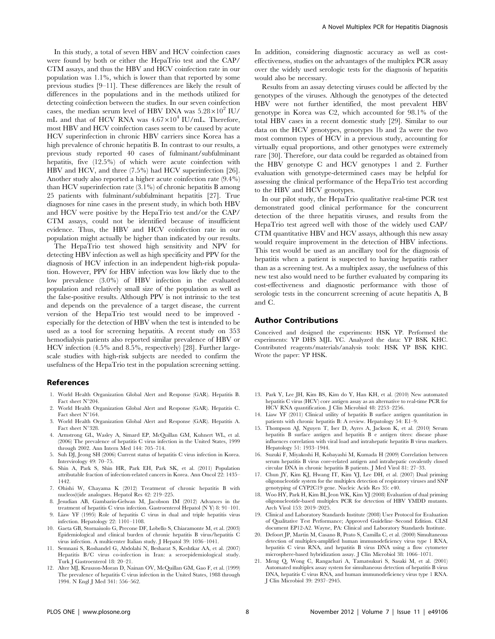In this study, a total of seven HBV and HCV coinfection cases were found by both or either the HepaTrio test and the CAP/ CTM assays, and thus the HBV and HCV coinfection rate in our population was 1.1%, which is lower than that reported by some previous studies [9–11]. These differences are likely the result of differences in the populations and in the methods utilized for detecting coinfection between the studies. In our seven coinfection cases, the median serum level of HBV DNA was  $5.28\times10^2$  IU/ mL and that of HCV RNA was  $4.67 \times 10^4$  IU/mL. Therefore, most HBV and HCV coinfection cases seem to be caused by acute HCV superinfection in chronic HBV carriers since Korea has a high prevalence of chronic hepatitis B. In contrast to our results, a previous study reported 40 cases of fulminant/subfulminant hepatitis, five (12.5%) of which were acute coinfection with HBV and HCV, and three (7.5%) had HCV superinfection [26]. Another study also reported a higher acute coinfection rate (9.4%) than HCV superinfection rate (3.1%) of chronic hepatitis B among 25 patients with fulminant/subfulminant hepatitis [27]. True diagnoses for nine cases in the present study, in which both HBV and HCV were positive by the HepaTrio test and/or the CAP/ CTM assays, could not be identified because of insufficient evidence. Thus, the HBV and HCV coinfection rate in our population might actually be higher than indicated by our results.

The HepaTrio test showed high sensitivity and NPV for detecting HBV infection as well as high specificity and PPV for the diagnosis of HCV infection in an independent high-risk population. However, PPV for HBV infection was low likely due to the low prevalence (3.0%) of HBV infection in the evaluated population and relatively small size of the population as well as the false-positive results. Although PPV is not intrinsic to the test and depends on the prevalence of a target disease, the current version of the HepaTrio test would need to be improved especially for the detection of HBV when the test is intended to be used as a tool for screening hepatitis. A recent study on 353 hemodialysis patients also reported similar prevalence of HBV or HCV infection (4.5% and 8.5%, respectively) [28]. Further largescale studies with high-risk subjects are needed to confirm the usefulness of the HepaTrio test in the population screening setting.

#### References

- 1. World Health Organization Global Alert and Response (GAR). Hepatitis B. Fact sheet  $N^{\circ}204$ .
- 2. World Health Organization Global Alert and Response (GAR). Hepatitis C. Fact sheet N°164.
- 3. World Health Organization Global Alert and Response (GAR). Hepatitis A. Fact sheet  $\mathrm{N}^\circ 328.$
- 4. Armstrong GL, Wasley A, Simard EP, McQuillan GM, Kuhnert WL, et al. (2006) The prevalence of hepatitis C virus infection in the United States, 1999 through 2002. Ann Intern Med 144: 705–714.
- 5. Suh DJ, Jeong SH (2006) Current status of hepatitis C virus infection in Korea. Intervirology 49: 70–75.
- 6. Shin A, Park S, Shin HR, Park EH, Park SK, et al. (2011) Population attributable fraction of infection-related cancers in Korea. Ann Oncol 22: 1435– 1442.
- 7. Ohishi W, Chayama K (2012) Treatment of chronic hepatitis B with nucleos(t)ide analogues. Hepatol Res 42: 219–225.
- 8. Jesudian AB, Gambarin-Gelwan M, Jacobson IM (2012) Advances in the treatment of hepatitis C virus infection. Gastroenterol Hepatol (N Y) 8: 91–101.
- 9. Liaw YF (1995) Role of hepatitis C virus in dual and triple hepatitis virus infection. Hepatology 22: 1101–1108.
- 10. Gaeta GB, Stornaiuolo G, Precone DF, Lobello S, Chiaramonte M, et al. (2003) Epidemiological and clinical burden of chronic hepatitis B virus/hepatitis C virus infection. A multicenter Italian study. J Hepatol 39: 1036–1041.
- 11. Semnani S, Roshandel G, Abdolahi N, Besharat S, Keshtkar AA, et al. (2007) Hepatitis B/C virus co-infection in Iran: a seroepidemiological study. Turk J Gastroenterol 18: 20–21.
- 12. Alter MJ, Kruszon-Moran D, Nainan OV, McQuillan GM, Gao F, et al. (1999) The prevalence of hepatitis C virus infection in the United States, 1988 through 1994. N Engl J Med 341: 556–562.

In addition, considering diagnostic accuracy as well as costeffectiveness, studies on the advantages of the multiplex PCR assay over the widely used serologic tests for the diagnosis of hepatitis would also be necessary.

Results from an assay detecting viruses could be affected by the genotypes of the viruses. Although the genotypes of the detected HBV were not further identified, the most prevalent HBV genotype in Korea was C2, which accounted for 98.1% of the total HBV cases in a recent domestic study [29]. Similar to our data on the HCV genotypes, genotypes 1b and 2a were the two most common types of HCV in a previous study, accounting for virtually equal proportions, and other genotypes were extremely rare [30]. Therefore, our data could be regarded as obtained from the HBV genotype C and HCV genotypes 1 and 2. Further evaluation with genotype-determined cases may be helpful for assessing the clinical performance of the HepaTrio test according to the HBV and HCV genotypes.

In our pilot study, the HepaTrio qualitative real-time PCR test demonstrated good clinical performance for the concurrent detection of the three hepatitis viruses, and results from the HepaTrio test agreed well with those of the widely used CAP/ CTM quantitative HBV and HCV assays, although this new assay would require improvement in the detection of HBV infections. This test would be used as an ancillary tool for the diagnosis of hepatitis when a patient is suspected to having hepatitis rather than as a screening test. As a multiplex assay, the usefulness of this new test also would need to be further evaluated by comparing its cost-effectiveness and diagnostic performance with those of serologic tests in the concurrent screening of acute hepatitis A, B and C.

#### Author Contributions

Conceived and designed the experiments: HSK YP. Performed the experiments: YP DHS MJL YC. Analyzed the data: YP BSK KHC. Contributed reagents/materials/analysis tools: HSK YP BSK KHC. Wrote the paper: YP HSK.

- 13. Park Y, Lee JH, Kim BS, Kim do Y, Han KH, et al. (2010) New automated hepatitis C virus (HCV) core antigen assay as an alternative to real-time PCR for HCV RNA quantification. J Clin Microbiol 48: 2253–2256.
- 14. Liaw YF (2011) Clinical utility of hepatitis B surface antigen quantitation in patients with chronic hepatitis B: A review. Hepatology 54: E1–9.
- 15. Thompson AJ, Nguyen T, Iser D, Ayres A, Jackson K, et al. (2010) Serum hepatitis B surface antigen and hepatitis B e antigen titers: disease phase influences correlation with viral load and intrahepatic hepatitis B virus markers. Hepatology 51: 1933–1944.
- 16. Suzuki F, Miyakoshi H, Kobayashi M, Kumada H (2009) Correlation between serum hepatitis B virus core-related antigen and intrahepatic covalently closed circular DNA in chronic hepatitis B patients. J Med Virol 81: 27–33.
- 17. Chun JY, Kim KJ, Hwang IT, Kim YJ, Lee DH, et al. (2007) Dual priming oligonucleotide system for the multiplex detection of respiratory viruses and SNP genotyping of CYP2C19 gene. Nucleic Acids Res 35: e40.
- 18. Woo HY, Park H, Kim BI, Jeon WK, Kim YJ (2008) Evaluation of dual priming oligonucleotide-based multiplex PCR for detection of HBV YMDD mutants. Arch Virol 153: 2019–2025.
- 19. Clinical and Laboratory Standards Institute (2008) User Protocol for Evaluation of Qualitative Test Performance; Approved Guideline–Second Edition. CLSI document EP12-A2. Wayne, PA: Clinical and Laboratory Standards Institute.
- 20. Defoort JP, Martin M, Casano B, Prato S, Camilla C, et al. (2000) Simultaneous detection of multiplex-amplified human immunodeficiency virus type 1 RNA, hepatitis C virus RNA, and hepatitis B virus DNA using a flow cytometer microsphere-based hybridization assay. J Clin Microbiol 38: 1066–1071.
- 21. Meng Q, Wong C, Rangachari A, Tamatsukuri S, Sasaki M, et al. (2001) Automated multiplex assay system for simultaneous detection of hepatitis B virus DNA, hepatitis C virus RNA, and human immunodeficiency virus type 1 RNA. J Clin Microbiol 39: 2937–2945.